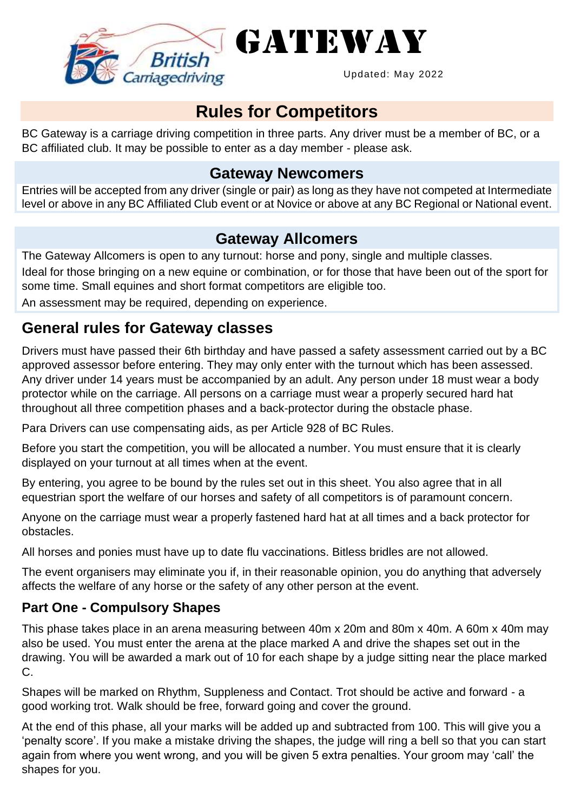



Updated: May 2022

# **Rules for Competitors**

BC Gateway is a carriage driving competition in three parts. Any driver must be a member of BC, or a BC affiliated club. It may be possible to enter as a day member - please ask.

#### **Gateway Newcomers**

Entries will be accepted from any driver (single or pair) as long as they have not competed at Intermediate level or above in any BC Affiliated Club event or at Novice or above at any BC Regional or National event.

#### **Gateway Allcomers**

The Gateway Allcomers is open to any turnout: horse and pony, single and multiple classes. Ideal for those bringing on a new equine or combination, or for those that have been out of the sport for some time. Small equines and short format competitors are eligible too.

An assessment may be required, depending on experience.

## **General rules for Gateway classes**

Drivers must have passed their 6th birthday and have passed a safety assessment carried out by a BC approved assessor before entering. They may only enter with the turnout which has been assessed. Any driver under 14 years must be accompanied by an adult. Any person under 18 must wear a body protector while on the carriage. All persons on a carriage must wear a properly secured hard hat throughout all three competition phases and a back-protector during the obstacle phase.

Para Drivers can use compensating aids, as per Article 928 of BC Rules.

Before you start the competition, you will be allocated a number. You must ensure that it is clearly displayed on your turnout at all times when at the event.

By entering, you agree to be bound by the rules set out in this sheet. You also agree that in all equestrian sport the welfare of our horses and safety of all competitors is of paramount concern.

Anyone on the carriage must wear a properly fastened hard hat at all times and a back protector for obstacles.

All horses and ponies must have up to date flu vaccinations. Bitless bridles are not allowed.

The event organisers may eliminate you if, in their reasonable opinion, you do anything that adversely affects the welfare of any horse or the safety of any other person at the event.

#### **Part One - Compulsory Shapes**

This phase takes place in an arena measuring between 40m x 20m and 80m x 40m. A 60m x 40m may also be used. You must enter the arena at the place marked A and drive the shapes set out in the drawing. You will be awarded a mark out of 10 for each shape by a judge sitting near the place marked C.

Shapes will be marked on Rhythm, Suppleness and Contact. Trot should be active and forward - a good working trot. Walk should be free, forward going and cover the ground.

At the end of this phase, all your marks will be added up and subtracted from 100. This will give you a 'penalty score'. If you make a mistake driving the shapes, the judge will ring a bell so that you can start again from where you went wrong, and you will be given 5 extra penalties. Your groom may 'call' the shapes for you.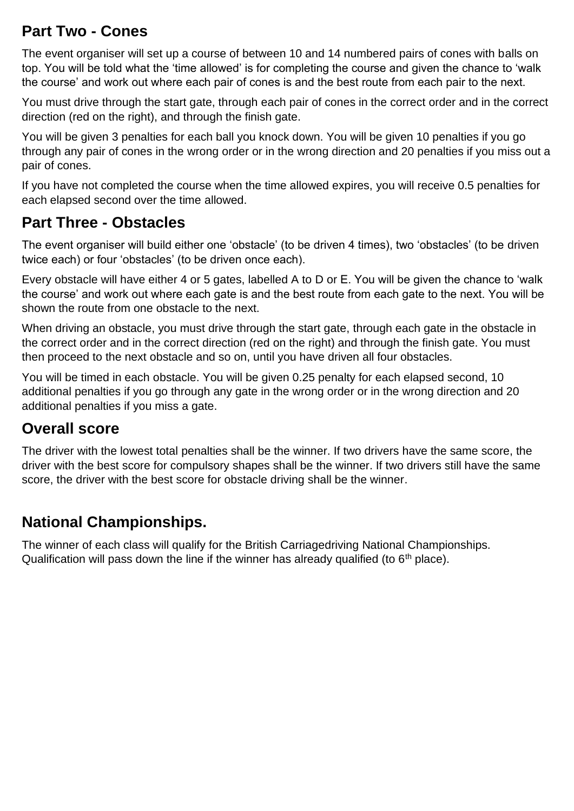### **Part Two - Cones**

The event organiser will set up a course of between 10 and 14 numbered pairs of cones with balls on top. You will be told what the 'time allowed' is for completing the course and given the chance to 'walk the course' and work out where each pair of cones is and the best route from each pair to the next.

You must drive through the start gate, through each pair of cones in the correct order and in the correct direction (red on the right), and through the finish gate.

You will be given 3 penalties for each ball you knock down. You will be given 10 penalties if you go through any pair of cones in the wrong order or in the wrong direction and 20 penalties if you miss out a pair of cones.

If you have not completed the course when the time allowed expires, you will receive 0.5 penalties for each elapsed second over the time allowed.

#### **Part Three - Obstacles**

The event organiser will build either one 'obstacle' (to be driven 4 times), two 'obstacles' (to be driven twice each) or four 'obstacles' (to be driven once each).

Every obstacle will have either 4 or 5 gates, labelled A to D or E. You will be given the chance to 'walk the course' and work out where each gate is and the best route from each gate to the next. You will be shown the route from one obstacle to the next.

When driving an obstacle, you must drive through the start gate, through each gate in the obstacle in the correct order and in the correct direction (red on the right) and through the finish gate. You must then proceed to the next obstacle and so on, until you have driven all four obstacles.

You will be timed in each obstacle. You will be given 0.25 penalty for each elapsed second, 10 additional penalties if you go through any gate in the wrong order or in the wrong direction and 20 additional penalties if you miss a gate.

# **Overall score**

The driver with the lowest total penalties shall be the winner. If two drivers have the same score, the driver with the best score for compulsory shapes shall be the winner. If two drivers still have the same score, the driver with the best score for obstacle driving shall be the winner.

# **National Championships.**

The winner of each class will qualify for the British Carriagedriving National Championships. Qualification will pass down the line if the winner has already qualified (to  $6<sup>th</sup>$  place).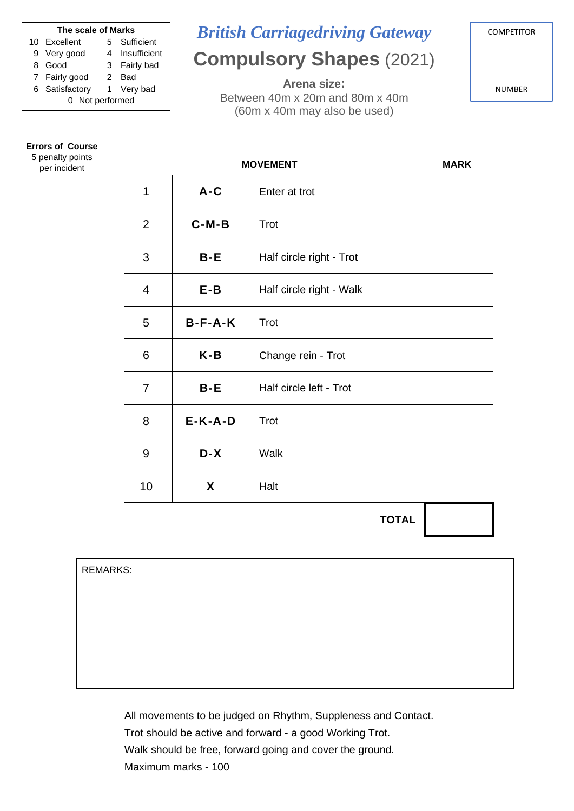#### **The scale of Marks**

| 10 Excellent  | 5 Sufficient   |
|---------------|----------------|
| 9 Very good   | 4 Insufficient |
| 8 Good        | 3 Fairly bad   |
| 7 Fairly good | 2 Bad          |

6 Satisfactory 1 Very bad

0 Not performed

**Errors of Course** 5 penalty points per incident

*British Carriagedriving Gateway*

**Compulsory Shapes** (2021)

#### **Arena size:**

Between 40m x 20m and 80m x 40m (60m x 40m may also be used)

**COMPETITOR** 

NUMBER

| <b>MOVEMENT</b> |           |                          | <b>MARK</b> |
|-----------------|-----------|--------------------------|-------------|
| 1               | $A-C$     | Enter at trot            |             |
| $\overline{2}$  | $C-M-B$   | Trot                     |             |
| 3               | $B - E$   | Half circle right - Trot |             |
| 4               | $E - B$   | Half circle right - Walk |             |
| 5               | $B-F-A-K$ | Trot                     |             |
| 6               | K-B       | Change rein - Trot       |             |
| $\overline{7}$  | $B - E$   | Half circle left - Trot  |             |
| 8               | $E-K-A-D$ | Trot                     |             |
| 9               | $D-X$     | Walk                     |             |
| 10              | X         | Halt                     |             |
|                 |           | ΤΟΤΑΙ                    |             |

**TOTAL**

REMARKS:

All movements to be judged on Rhythm, Suppleness and Contact. Trot should be active and forward - a good Working Trot. Walk should be free, forward going and cover the ground. Maximum marks - 100